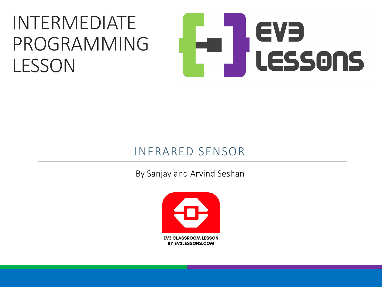#### INTERMEDIATE PROGRAMMING LESSON

# EVE LESSONS

#### INFRARED SENSOR

By Sanjay and Arvind Seshan

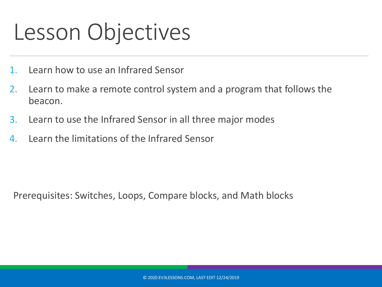#### Lesson Objectives

- 1. Learn how to use an Infrared Sensor
- 2. Learn to make a remote control system and a program that follows the beacon.
- 3. Learn to use the Infrared Sensor in all three major modes
- 4. Learn the limitations of the Infrared Sensor

Prerequisites: Switches, Loops, Compare blocks, and Math blocks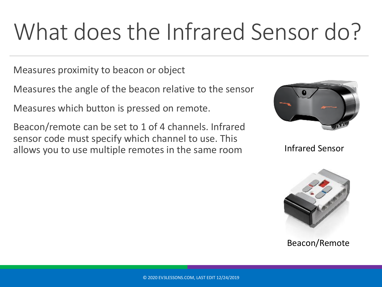## What does the Infrared Sensor do?

Measures proximity to beacon or object

Measures the angle of the beacon relative to the sensor

Measures which button is pressed on remote.

Beacon/remote can be set to 1 of 4 channels. Infrared sensor code must specify which channel to use. This allows you to use multiple remotes in the same room



Infrared Sensor



Beacon/Remote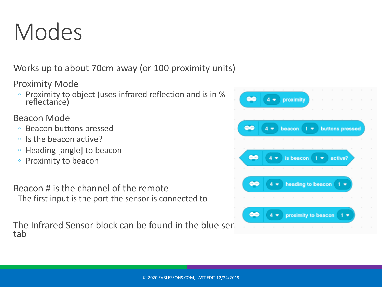#### Modes

Works up to about 70cm away (or 100 proximity units)

Proximity Mode

◦ Proximity to object (uses infrared reflection and is in % reflectance)

Beacon Mode

- Beacon buttons pressed
- Is the beacon active?
- Heading [angle] to beacon
- Proximity to beacon

Beacon # is the channel of the remote The first input is the port the sensor is connected to

The Infrared Sensor block can be found in the blue ser tab

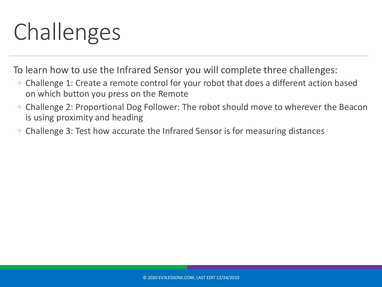#### Challenges

To learn how to use the Infrared Sensor you will complete three challenges:

- Challenge 1: Create a remote control for your robot that does a different action based on which button you press on the Remote
- Challenge 2: Proportional Dog Follower: The robot should move to wherever the Beacon is using proximity and heading
- Challenge 3: Test how accurate the Infrared Sensor is for measuring distances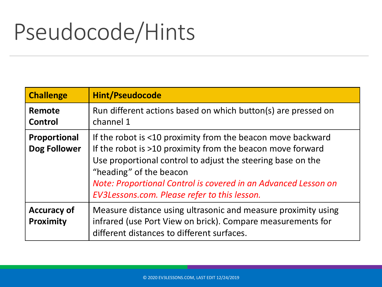#### Pseudocode/Hints

| <b>Challenge</b>                | <b>Hint/Pseudocode</b>                                                                                                                                                                                                                                                                                                                |
|---------------------------------|---------------------------------------------------------------------------------------------------------------------------------------------------------------------------------------------------------------------------------------------------------------------------------------------------------------------------------------|
| Remote<br>Control               | Run different actions based on which button(s) are pressed on<br>channel 1                                                                                                                                                                                                                                                            |
| Proportional<br>Dog Follower    | If the robot is <10 proximity from the beacon move backward<br>If the robot is >10 proximity from the beacon move forward<br>Use proportional control to adjust the steering base on the<br>"heading" of the beacon<br>Note: Proportional Control is covered in an Advanced Lesson on<br>EV3Lessons.com. Please refer to this lesson. |
| <b>Accuracy of</b><br>Proximity | Measure distance using ultrasonic and measure proximity using<br>infrared (use Port View on brick). Compare measurements for<br>different distances to different surfaces.                                                                                                                                                            |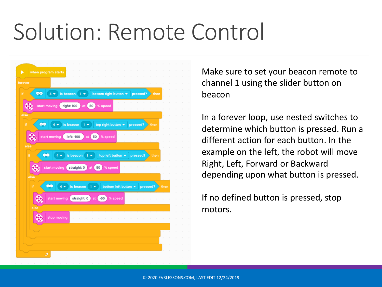#### Solution: Remote Control



Make sure to set your beacon remote to channel 1 using the slider button on beacon

In a forever loop, use nested switches to determine which button is pressed. Run a different action for each button. In the example on the left, the robot will move Right, Left, Forward or Backward depending upon what button is pressed.

If no defined button is pressed, stop motors.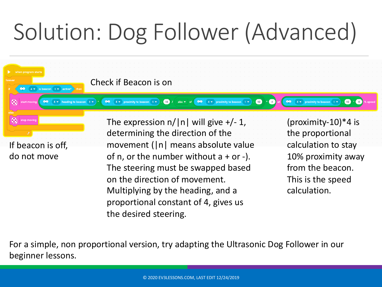## Solution: Dog Follower (Advanced)



For a simple, non proportional version, try adapting the Ultrasonic Dog Follower in our beginner lessons.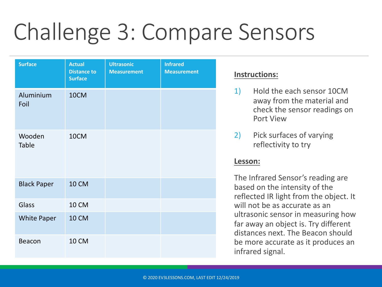### Challenge 3: Compare Sensors

| <b>Surface</b>         | <b>Actual</b><br><b>Distance to</b><br><b>Surface</b> | <b>Ultrasonic</b><br><b>Measurement</b> | <b>Infrared</b><br><b>Measurement</b> |
|------------------------|-------------------------------------------------------|-----------------------------------------|---------------------------------------|
| Aluminium<br>Foil      | 10CM                                                  |                                         |                                       |
| Wooden<br><b>Table</b> | 10CM                                                  |                                         |                                       |
| <b>Black Paper</b>     | <b>10 CM</b>                                          |                                         |                                       |
| Glass                  | <b>10 CM</b>                                          |                                         |                                       |
| <b>White Paper</b>     | <b>10 CM</b>                                          |                                         |                                       |
| <b>Beacon</b>          | <b>10 CM</b>                                          |                                         |                                       |

#### **Instructions:**

- 1) Hold the each sensor 10CM away from the material and check the sensor readings on Port View
- 2) Pick surfaces of varying reflectivity to try

#### **Lesson:**

The Infrared Sensor's reading are based on the intensity of the reflected IR light from the object. It will not be as accurate as an ultrasonic sensor in measuring how far away an object is. Try different distances next. The Beacon should be more accurate as it produces an infrared signal.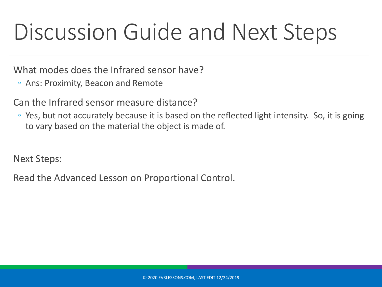#### Discussion Guide and Next Steps

What modes does the Infrared sensor have?

◦ Ans: Proximity, Beacon and Remote

Can the Infrared sensor measure distance?

◦ Yes, but not accurately because it is based on the reflected light intensity. So, it is going to vary based on the material the object is made of.

Next Steps:

Read the Advanced Lesson on Proportional Control.